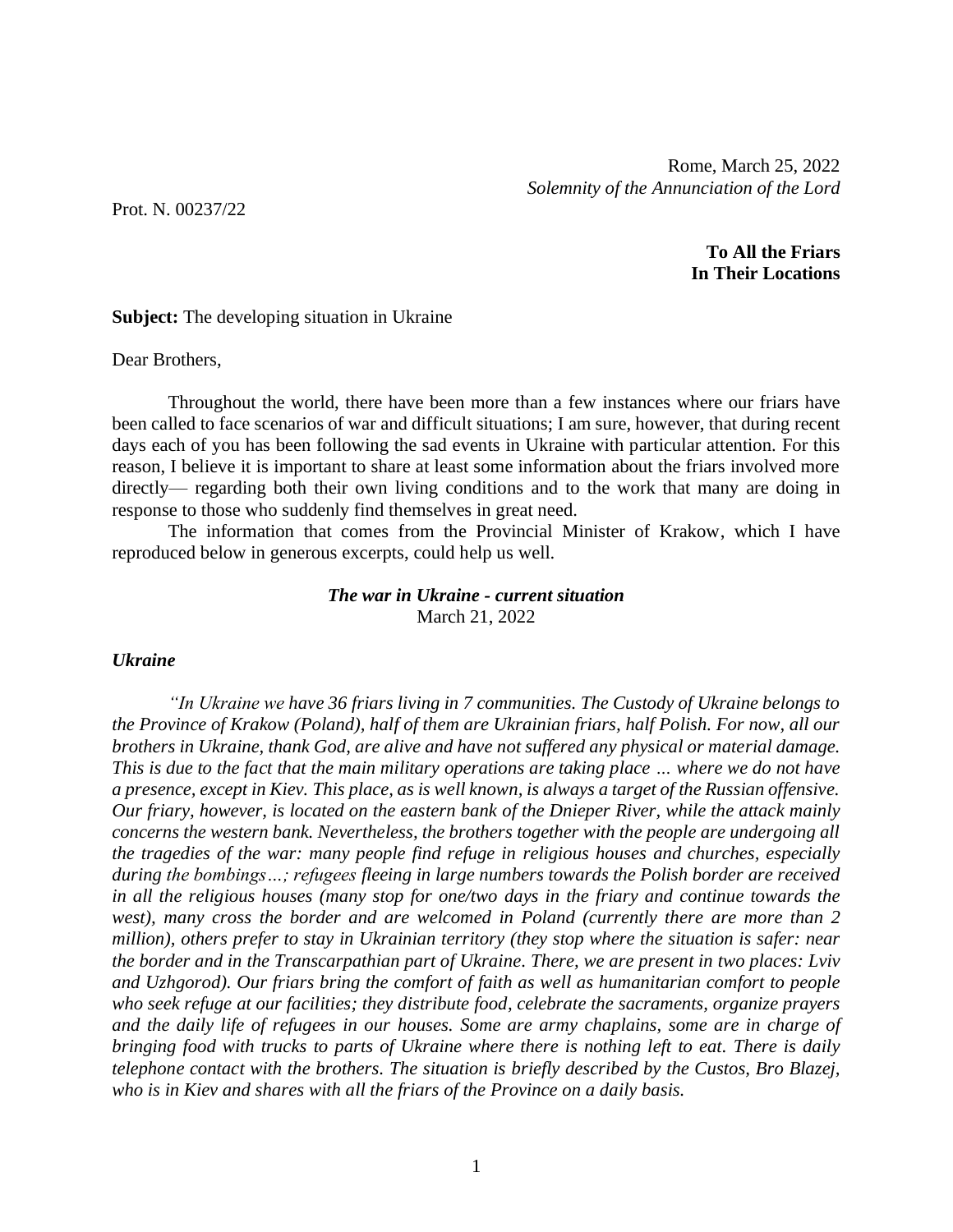Prot. N. 00237/22

**To All the Friars In Their Locations**

## **Subject:** The developing situation in Ukraine

#### Dear Brothers,

Throughout the world, there have been more than a few instances where our friars have been called to face scenarios of war and difficult situations; I am sure, however, that during recent days each of you has been following the sad events in Ukraine with particular attention. For this reason, I believe it is important to share at least some information about the friars involved more directly— regarding both their own living conditions and to the work that many are doing in response to those who suddenly find themselves in great need.

The information that comes from the Provincial Minister of Krakow, which I have reproduced below in generous excerpts, could help us well.

# *The war in Ukraine - current situation* March 21, 2022

# *Ukraine*

*"In Ukraine we have 36 friars living in 7 communities. The Custody of Ukraine belongs to the Province of Krakow (Poland), half of them are Ukrainian friars, half Polish. For now, all our brothers in Ukraine, thank God, are alive and have not suffered any physical or material damage. This is due to the fact that the main military operations are taking place … where we do not have a presence, except in Kiev. This place, as is well known, is always a target of the Russian offensive. Our friary, however, is located on the eastern bank of the Dnieper River, while the attack mainly concerns the western bank. Nevertheless, the brothers together with the people are undergoing all the tragedies of the war: many people find refuge in religious houses and churches, especially during the bombings…; refugees fleeing in large numbers towards the Polish border are received in all the religious houses (many stop for one/two days in the friary and continue towards the west), many cross the border and are welcomed in Poland (currently there are more than 2 million), others prefer to stay in Ukrainian territory (they stop where the situation is safer: near the border and in the Transcarpathian part of Ukraine. There, we are present in two places: Lviv and Uzhgorod). Our friars bring the comfort of faith as well as humanitarian comfort to people who seek refuge at our facilities; they distribute food, celebrate the sacraments, organize prayers and the daily life of refugees in our houses. Some are army chaplains, some are in charge of bringing food with trucks to parts of Ukraine where there is nothing left to eat. There is daily telephone contact with the brothers. The situation is briefly described by the Custos, Bro Blazej, who is in Kiev and shares with all the friars of the Province on a daily basis.*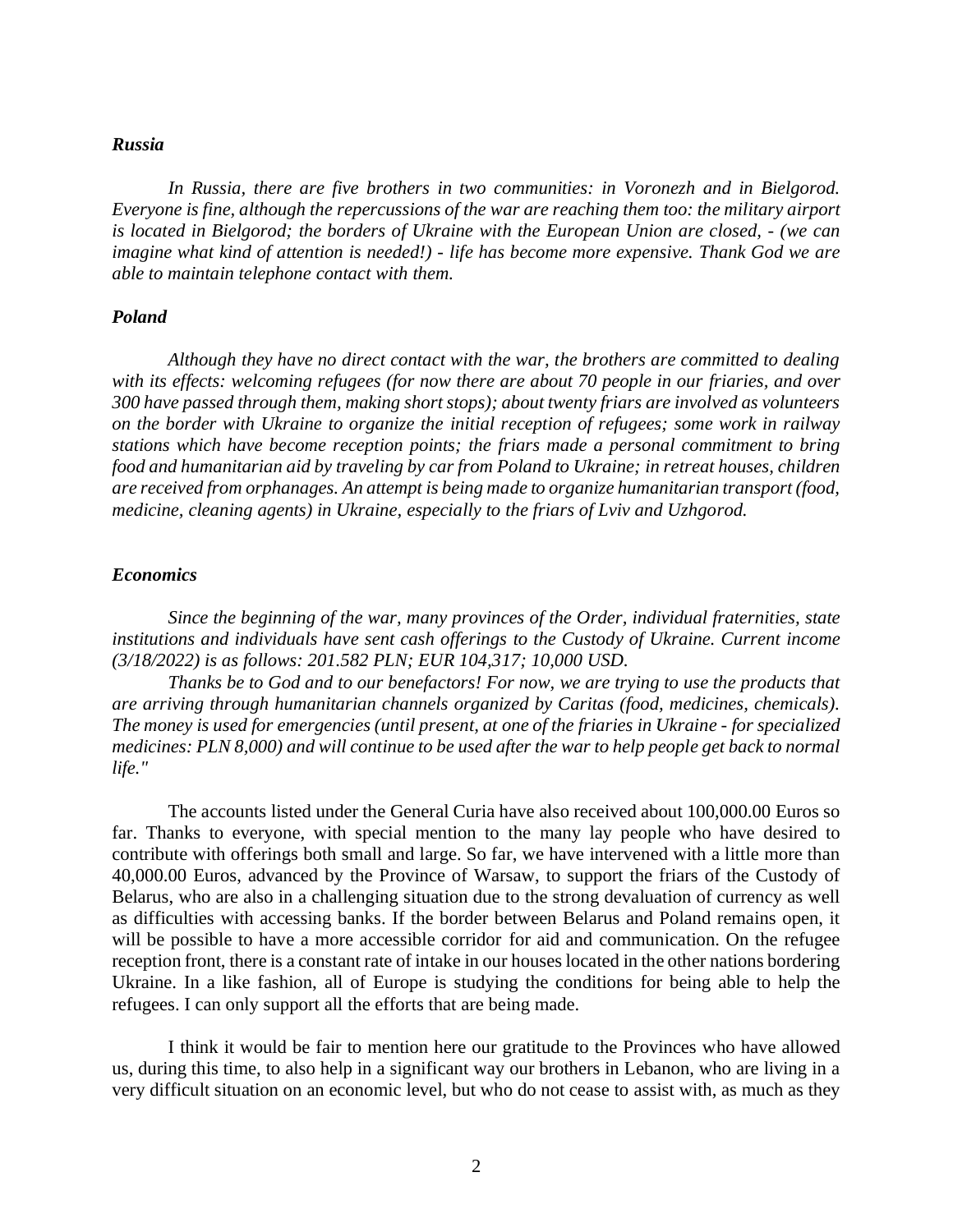### *Russia*

*In Russia, there are five brothers in two communities: in Voronezh and in Bielgorod. Everyone is fine, although the repercussions of the war are reaching them too: the military airport is located in Bielgorod; the borders of Ukraine with the European Union are closed, - (we can imagine what kind of attention is needed!) - life has become more expensive. Thank God we are able to maintain telephone contact with them.*

#### *Poland*

*Although they have no direct contact with the war, the brothers are committed to dealing with its effects: welcoming refugees (for now there are about 70 people in our friaries, and over 300 have passed through them, making short stops); about twenty friars are involved as volunteers on the border with Ukraine to organize the initial reception of refugees; some work in railway stations which have become reception points; the friars made a personal commitment to bring food and humanitarian aid by traveling by car from Poland to Ukraine; in retreat houses, children are received from orphanages. An attempt is being made to organize humanitarian transport (food, medicine, cleaning agents) in Ukraine, especially to the friars of Lviv and Uzhgorod.*

### *Economics*

*Since the beginning of the war, many provinces of the Order, individual fraternities, state institutions and individuals have sent cash offerings to the Custody of Ukraine. Current income (3/18/2022) is as follows: 201.582 PLN; EUR 104,317; 10,000 USD.*

*Thanks be to God and to our benefactors! For now, we are trying to use the products that are arriving through humanitarian channels organized by Caritas (food, medicines, chemicals). The money is used for emergencies (until present, at one of the friaries in Ukraine - for specialized medicines: PLN 8,000) and will continue to be used after the war to help people get back to normal life."*

The accounts listed under the General Curia have also received about 100,000.00 Euros so far. Thanks to everyone, with special mention to the many lay people who have desired to contribute with offerings both small and large. So far, we have intervened with a little more than 40,000.00 Euros, advanced by the Province of Warsaw, to support the friars of the Custody of Belarus, who are also in a challenging situation due to the strong devaluation of currency as well as difficulties with accessing banks. If the border between Belarus and Poland remains open, it will be possible to have a more accessible corridor for aid and communication. On the refugee reception front, there is a constant rate of intake in our houses located in the other nations bordering Ukraine. In a like fashion, all of Europe is studying the conditions for being able to help the refugees. I can only support all the efforts that are being made.

I think it would be fair to mention here our gratitude to the Provinces who have allowed us, during this time, to also help in a significant way our brothers in Lebanon, who are living in a very difficult situation on an economic level, but who do not cease to assist with, as much as they